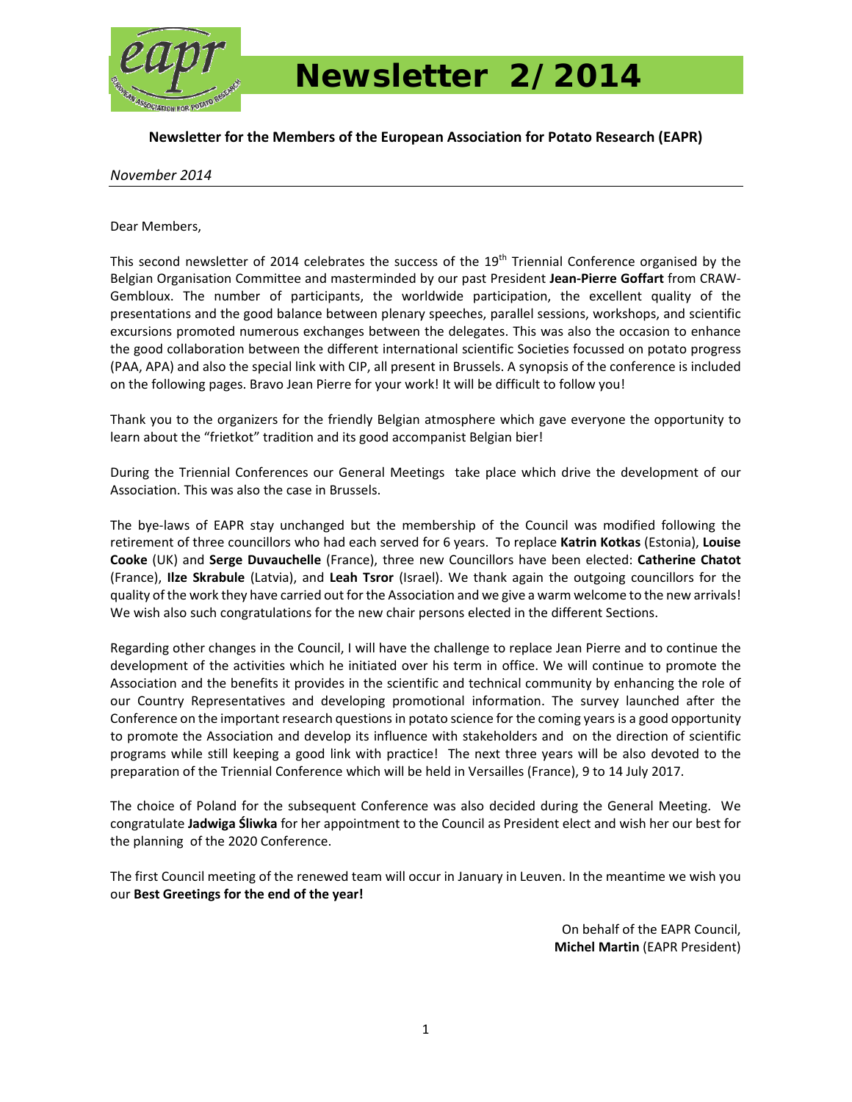

 *Newsletter 2/2014* 

### **Newsletter for the Members of the European Association for Potato Research (EAPR)**

#### *November 2014*

Dear Members,

This second newsletter of 2014 celebrates the success of the 19<sup>th</sup> Triennial Conference organised by the Belgian Organisation Committee and masterminded by our past President **Jean‐Pierre Goffart** from CRAW‐ Gembloux. The number of participants, the worldwide participation, the excellent quality of the presentations and the good balance between plenary speeches, parallel sessions, workshops, and scientific excursions promoted numerous exchanges between the delegates. This was also the occasion to enhance the good collaboration between the different international scientific Societies focussed on potato progress (PAA, APA) and also the special link with CIP, all present in Brussels. A synopsis of the conference is included on the following pages. Bravo Jean Pierre for your work! It will be difficult to follow you!

Thank you to the organizers for the friendly Belgian atmosphere which gave everyone the opportunity to learn about the "frietkot" tradition and its good accompanist Belgian bier!

During the Triennial Conferences our General Meetings take place which drive the development of our Association. This was also the case in Brussels.

The bye‐laws of EAPR stay unchanged but the membership of the Council was modified following the retirement of three councillors who had each served for 6 years. To replace **Katrin Kotkas** (Estonia), **Louise Cooke** (UK) and **Serge Duvauchelle** (France), three new Councillors have been elected: **Catherine Chatot** (France), **Ilze Skrabule** (Latvia), and **Leah Tsror** (Israel). We thank again the outgoing councillors for the quality of the work they have carried out for the Association and we give a warm welcome to the new arrivals! We wish also such congratulations for the new chair persons elected in the different Sections.

Regarding other changes in the Council, I will have the challenge to replace Jean Pierre and to continue the development of the activities which he initiated over his term in office. We will continue to promote the Association and the benefits it provides in the scientific and technical community by enhancing the role of our Country Representatives and developing promotional information. The survey launched after the Conference on the important research questions in potato science for the coming yearsis a good opportunity to promote the Association and develop its influence with stakeholders and on the direction of scientific programs while still keeping a good link with practice! The next three years will be also devoted to the preparation of the Triennial Conference which will be held in Versailles (France), 9 to 14 July 2017.

The choice of Poland for the subsequent Conference was also decided during the General Meeting. We congratulate **Jadwiga Śliwka** for her appointment to the Council as President elect and wish her our best for the planning of the 2020 Conference.

The first Council meeting of the renewed team will occur in January in Leuven. In the meantime we wish you our **Best Greetings for the end of the year!**

> On behalf of the EAPR Council, **Michel Martin** (EAPR President)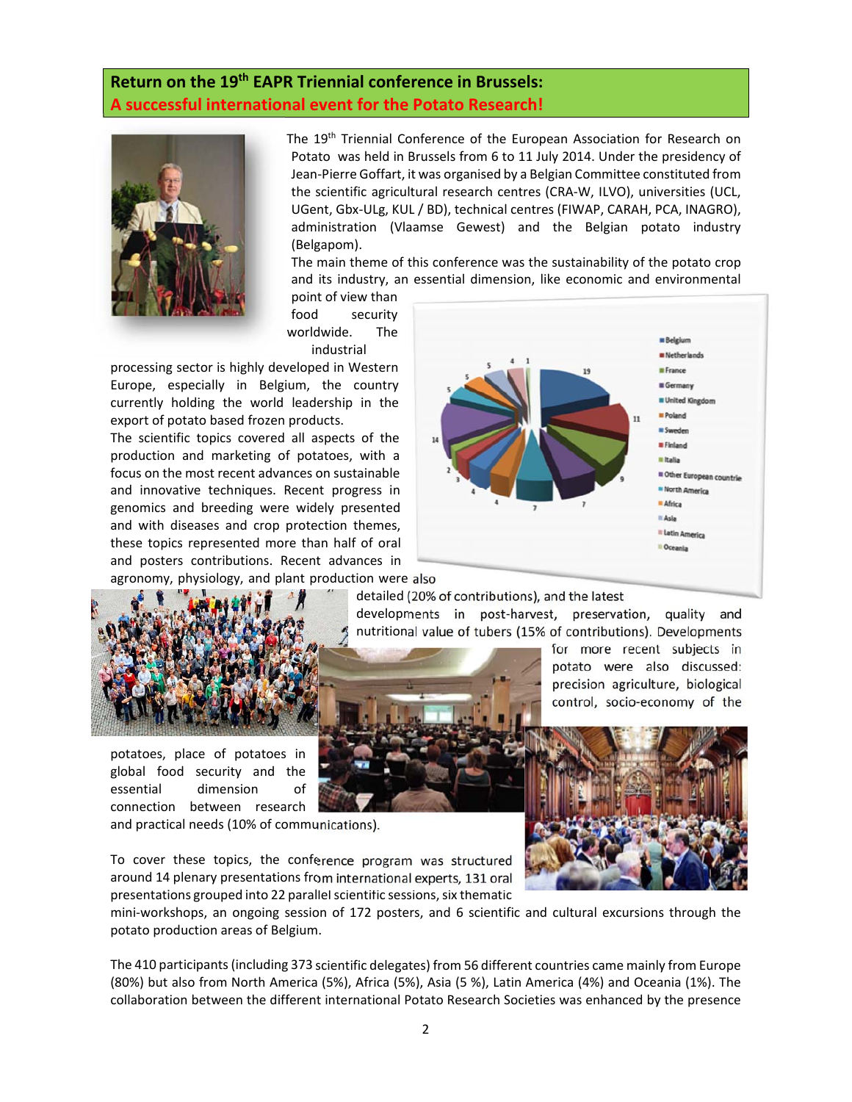# **Return on the 19th EAPR Triennial conference in Brussels: A successful international event for the Potato Research!**



The 19<sup>th</sup> Triennial Conference of the European Association for Research on Potato was held in Brussels from 6 to 11 July 2014. Under the presidency of Jean‐Pierre Goffart, it was organised by a Belgian Committee constituted from the scientific agricultural research centres (CRA‐W, ILVO), universities (UCL, UGent, Gbx‐ULg, KUL / BD), technical centres (FIWAP, CARAH, PCA, INAGRO), administration (Vlaamse Gewest) and the Belgian potato industry (Belgapom).

The main theme of this conference was the sustainability of the potato crop and its industry, an essential dimension, like economic and environmental

detailed (20% of contributions), and the latest

developments in post‐harvest, preservation, quality and nutritional value of tubers (15% of contributions). Developments

point of view than food security worldwide. The industrial

processing sector is highly developed in Western Europe, especially in Belgium, the country currently holding the world leadership in the export of potato based frozen products.

The scientific topics covered all aspects of the production and marketing of potatoes, with a focus on the most recent advances on sustainable and innovative techniques. Recent progress in genomics and breeding were widely presented and with diseases and crop protection themes, these topics represented more than half of oral and posters contributions. Recent advances in agronomy, physiology, and plant production were also





potatoes, place of potatoes in global food security and the essential dimension of connection between research

and practical needs (10% of communications).

To cover these topics, the conference program was structured around 14 plenary presentations from international experts, 131 oral presentations grouped into 22 parallel scientific sessions, six thematic

mini‐workshops, an ongoing session of 172 posters, and 6 scientific and cultural excursions through the potato production areas of Belgium.

The 410 participants(including 373 scientific delegates) from 56 different countries came mainly from Europe (80%) but also from North America (5%), Africa (5%), Asia (5 %), Latin America (4%) and Oceania (1%). The collaboration between the different international Potato Research Societies was enhanced by the presence



for more recent subjects in potato were also discussed: precision agriculture, biological control, socio‐economy of the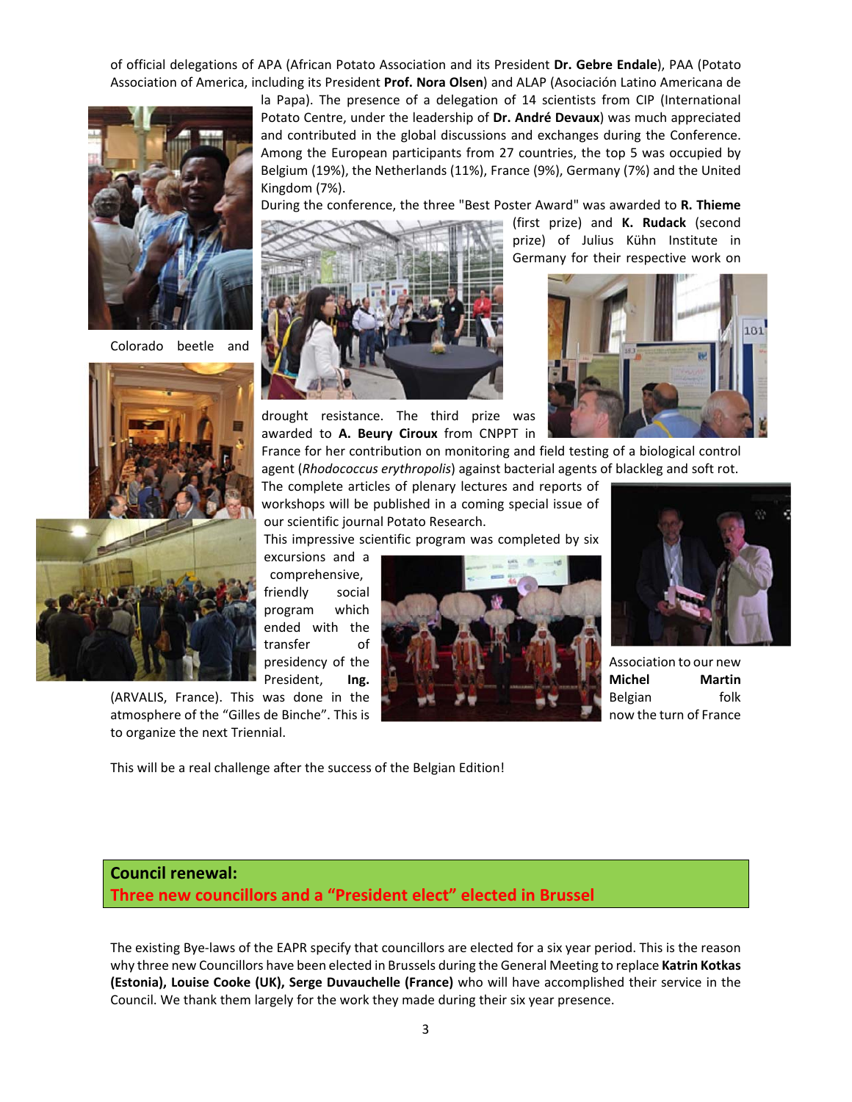of official delegations of APA (African Potato Association and its President **Dr. Gebre Endale**), PAA (Potato Association of America, including its President **Prof. Nora Olsen**) and ALAP (Asociación Latino Americana de



Colorado beetle and



(ARVALIS, France). This was done in the Belgian folk atmosphere of the "Gilles de Binche". This is now the turn of France is now the turn of France to organize the next Triennial.

la Papa). The presence of a delegation of 14 scientists from CIP (International Potato Centre, under the leadership of **Dr. André Devaux**) was much appreciated and contributed in the global discussions and exchanges during the Conference. Among the European participants from 27 countries, the top 5 was occupied by Belgium (19%), the Netherlands (11%), France (9%), Germany (7%) and the United Kingdom (7%).

During the conference, the three "Best Poster Award" was awarded to **R. Thieme**



drought resistance. The third prize was awarded to **A. Beury Ciroux** from CNPPT in

(first prize) and **K. Rudack** (second prize) of Julius Kühn Institute in Germany for their respective work on



France for her contribution on monitoring and field testing of a biological control agent (*Rhodococcus erythropolis*) against bacterial agents of blackleg and soft rot.

The complete articles of plenary lectures and reports of workshops will be published in a coming special issue of our scientific journal Potato Research.

This impressive scientific program was completed by six

excursions and a comprehensive, friendly social program which ended with the transfer of





This will be a real challenge after the success of the Belgian Edition!

# **Council renewal: Three new councillors and a "President elect" elected in Brussel**

The existing Bye-laws of the EAPR specify that councillors are elected for a six year period. This is the reason why three new Councillors have been elected in Brussels during the General Meeting to replace **Katrin Kotkas (Estonia), Louise Cooke (UK), Serge Duvauchelle (France)** who will have accomplished their service in the Council. We thank them largely for the work they made during their six year presence.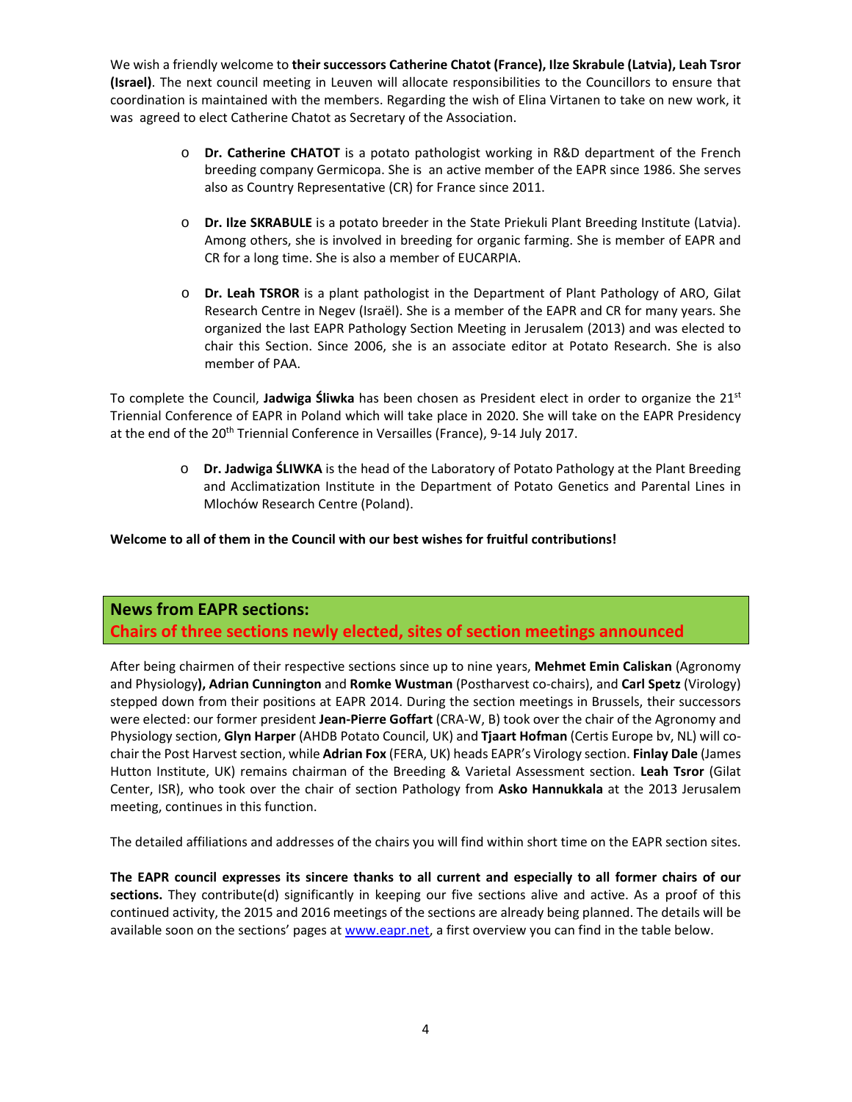We wish a friendly welcome to **theirsuccessors Catherine Chatot (France), Ilze Skrabule (Latvia), Leah Tsror (Israel)**. The next council meeting in Leuven will allocate responsibilities to the Councillors to ensure that coordination is maintained with the members. Regarding the wish of Elina Virtanen to take on new work, it was agreed to elect Catherine Chatot as Secretary of the Association.

- o **Dr. Catherine CHATOT** is a potato pathologist working in R&D department of the French breeding company Germicopa. She is an active member of the EAPR since 1986. She serves also as Country Representative (CR) for France since 2011.
- o **Dr. Ilze SKRABULE** is a potato breeder in the State Priekuli Plant Breeding Institute (Latvia). Among others, she is involved in breeding for organic farming. She is member of EAPR and CR for a long time. She is also a member of EUCARPIA.
- o **Dr. Leah TSROR** is a plant pathologist in the Department of Plant Pathology of ARO, Gilat Research Centre in Negev (Israël). She is a member of the EAPR and CR for many years. She organized the last EAPR Pathology Section Meeting in Jerusalem (2013) and was elected to chair this Section. Since 2006, she is an associate editor at Potato Research. She is also member of PAA.

To complete the Council, **Jadwiga Śliwka** has been chosen as President elect in order to organize the 21st Triennial Conference of EAPR in Poland which will take place in 2020. She will take on the EAPR Presidency at the end of the 20<sup>th</sup> Triennial Conference in Versailles (France), 9-14 July 2017.

> o **Dr. Jadwiga ŚLIWKA** is the head of the Laboratory of Potato Pathology at the Plant Breeding and Acclimatization Institute in the Department of Potato Genetics and Parental Lines in Mlochów Research Centre (Poland).

#### **Welcome to all of them in the Council with our best wishes for fruitful contributions!**

## **News from EAPR sections: Chairs of three sections newly elected, sites of section meetings announced**

After being chairmen of their respective sections since up to nine years, **Mehmet Emin Caliskan** (Agronomy and Physiology**), Adrian Cunnington** and **Romke Wustman** (Postharvest co‐chairs), and **Carl Spetz** (Virology) stepped down from their positions at EAPR 2014. During the section meetings in Brussels, their successors were elected: our former president **Jean‐Pierre Goffart** (CRA‐W, B) took over the chair of the Agronomy and Physiology section, **Glyn Harper** (AHDB Potato Council, UK) and **Tjaart Hofman** (Certis Europe bv, NL) will co‐ chair the Post Harvest section, while Adrian Fox (FERA, UK) heads EAPR's Virology section. Finlay Dale (James Hutton Institute, UK) remains chairman of the Breeding & Varietal Assessment section. **Leah Tsror** (Gilat Center, ISR), who took over the chair of section Pathology from **Asko Hannukkala** at the 2013 Jerusalem meeting, continues in this function.

The detailed affiliations and addresses of the chairs you will find within short time on the EAPR section sites.

The EAPR council expresses its sincere thanks to all current and especially to all former chairs of our **sections.** They contribute(d) significantly in keeping our five sections alive and active. As a proof of this continued activity, the 2015 and 2016 meetings of the sections are already being planned. The details will be available soon on the sections' pages at www.eapr.net, a first overview you can find in the table below.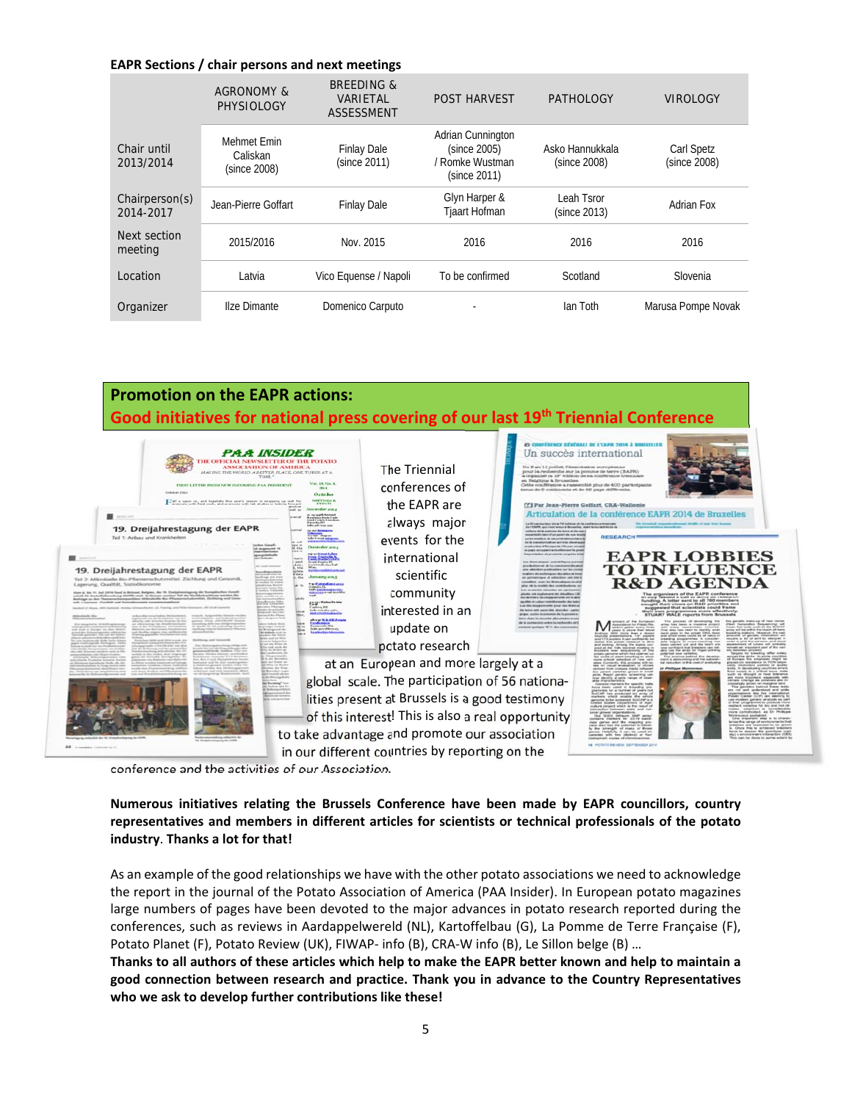#### **EAPR Sections / chair persons and next meetings**

|                             | AGRONOMY &<br>PHYSIOLOGY                | <b>BREEDING &amp;</b><br>VARIETAL<br><b>ASSESSMENT</b> | <b>POST HARVEST</b>                                                  | <b>PATHOLOGY</b>                | <b>VIROLOGY</b>                   |
|-----------------------------|-----------------------------------------|--------------------------------------------------------|----------------------------------------------------------------------|---------------------------------|-----------------------------------|
| Chair until<br>2013/2014    | Mehmet Emin<br>Caliskan<br>(since 2008) | <b>Finlay Dale</b><br>(since 2011)                     | Adrian Cunnington<br>(since 2005)<br>/ Romke Wustman<br>(since 2011) | Asko Hannukkala<br>(since 2008) | <b>Carl Spetz</b><br>(since 2008) |
| Chairperson(s)<br>2014-2017 | Jean-Pierre Goffart                     | <b>Finlay Dale</b>                                     | Glyn Harper &<br><b>Tjaart Hofman</b>                                | Leah Tsror<br>(since 2013)      | Adrian Fox                        |
| Next section<br>meeting     | 2015/2016                               | Nov. 2015                                              | 2016                                                                 | 2016                            | 2016                              |
| Location                    | Latvia                                  | Vico Equense / Napoli                                  | To be confirmed                                                      | Scotland                        | Slovenia                          |
| Organizer                   | Ilze Dimante                            | Domenico Carputo                                       |                                                                      | lan Toth                        | Marusa Pompe Novak                |



conference and the activities of our Association.

#### **Numerous initiatives relating the Brussels Conference have been made by EAPR councillors, country representatives and members in different articles for scientists or technical professionals of the potato industry**. **Thanks a lot for that!**

As an example of the good relationships we have with the other potato associations we need to acknowledge the report in the journal of the Potato Association of America (PAA Insider). In European potato magazines large numbers of pages have been devoted to the major advances in potato research reported during the conferences, such as reviews in Aardappelwereld (NL), Kartoffelbau (G), La Pomme de Terre Française (F), Potato Planet (F), Potato Review (UK), FIWAP‐ info (B), CRA‐W info (B), Le Sillon belge (B) …

Thanks to all authors of these articles which help to make the EAPR better known and help to maintain a **good connection between research and practice. Thank you in advance to the Country Representatives who we ask to develop further contributions like these!**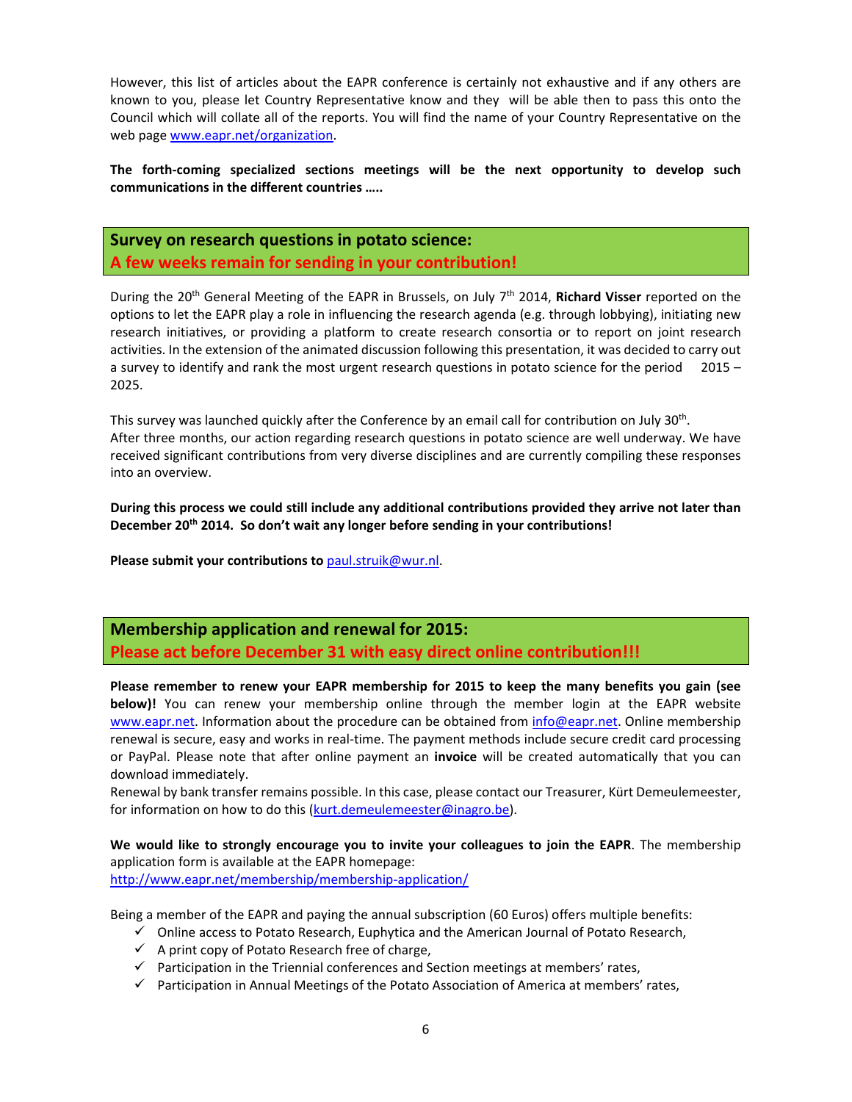However, this list of articles about the EAPR conference is certainly not exhaustive and if any others are known to you, please let Country Representative know and they will be able then to pass this onto the Council which will collate all of the reports. You will find the name of your Country Representative on the web page www.eapr.net/organization.

**The forth‐coming specialized sections meetings will be the next opportunity to develop such communications in the different countries …..** 

**Survey on research questions in potato science: A few weeks remain for sending in your contribution!**

During the 20th General Meeting of the EAPR in Brussels, on July 7th 2014, **Richard Visser** reported on the options to let the EAPR play a role in influencing the research agenda (e.g. through lobbying), initiating new research initiatives, or providing a platform to create research consortia or to report on joint research activities. In the extension of the animated discussion following this presentation, it was decided to carry out a survey to identify and rank the most urgent research questions in potato science for the period 2015 – 2025.

This survey was launched quickly after the Conference by an email call for contribution on July 30<sup>th</sup>. After three months, our action regarding research questions in potato science are well underway. We have received significant contributions from very diverse disciplines and are currently compiling these responses into an overview.

**During this process we could still include any additional contributions provided they arrive not later than December 20th 2014. So don't wait any longer before sending in your contributions!** 

**Please submit your contributions to** paul.struik@wur.nl.

**Membership application and renewal for 2015: Please act before December 31 with easy direct online contribution!!!**

**Please remember to renew your EAPR membership for 2015 to keep the many benefits you gain (see below)!** You can renew your membership online through the member login at the EAPR website www.eapr.net. Information about the procedure can be obtained from info@eapr.net. Online membership renewal is secure, easy and works in real‐time. The payment methods include secure credit card processing or PayPal. Please note that after online payment an **invoice** will be created automatically that you can download immediately.

Renewal by bank transfer remains possible. In this case, please contact our Treasurer, Kürt Demeulemeester, for information on how to do this (kurt.demeulemeester@inagro.be).

**We would like to strongly encourage you to invite your colleagues to join the EAPR**. The membership application form is available at the EAPR homepage: http://www.eapr.net/membership/membership-application/

- Being a member of the EAPR and paying the annual subscription (60 Euros) offers multiple benefits:
	- $\checkmark$  Online access to Potato Research, Euphytica and the American Journal of Potato Research,
	- $\checkmark$  A print copy of Potato Research free of charge,
	- $\checkmark$  Participation in the Triennial conferences and Section meetings at members' rates,
	- $\checkmark$  Participation in Annual Meetings of the Potato Association of America at members' rates,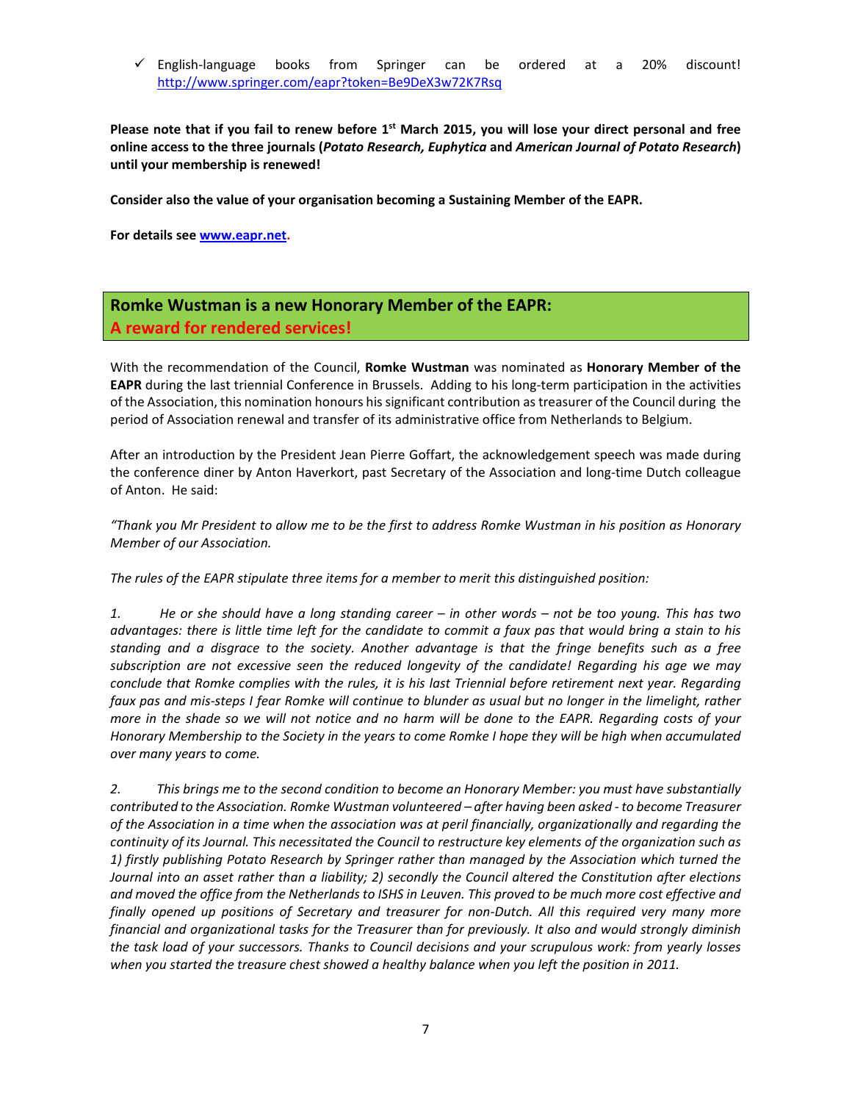English‐language books from Springer can be ordered at a 20% discount! http://www.springer.com/eapr?token=Be9DeX3w72K7Rsq

Please note that if you fail to renew before 1<sup>st</sup> March 2015, you will lose your direct personal and free **online access to the three journals (***Potato Research, Euphytica* **and** *American Journal of Potato Research***) until your membership is renewed!** 

**Consider also the value of your organisation becoming a Sustaining Member of the EAPR.** 

**For details see www.eapr.net.** 

## **Romke Wustman is a new Honorary Member of the EAPR: A reward for rendered services!**

With the recommendation of the Council, **Romke Wustman** was nominated as **Honorary Member of the EAPR** during the last triennial Conference in Brussels. Adding to his long-term participation in the activities of the Association, this nomination honours his significant contribution astreasurer of the Council during the period of Association renewal and transfer of its administrative office from Netherlands to Belgium.

After an introduction by the President Jean Pierre Goffart, the acknowledgement speech was made during the conference diner by Anton Haverkort, past Secretary of the Association and long‐time Dutch colleague of Anton. He said:

"Thank you Mr President to allow me to be the first to address Romke Wustman in his position as Honorary *Member of our Association.* 

*The rules of the EAPR stipulate three items for a member to merit this distinguished position:*

1. He or she should have a long standing career – in other words – not be too young. This has two advantages: there is little time left for the candidate to commit a faux pas that would bring a stain to his standing and a disgrace to the society. Another advantage is that the fringe benefits such as a free *subscription are not excessive seen the reduced longevity of the candidate! Regarding his age we may* conclude that Romke complies with the rules, it is his last Triennial before retirement next year. Regarding faux pas and mis-steps I fear Romke will continue to blunder as usual but no longer in the limelight, rather more in the shade so we will not notice and no harm will be done to the EAPR. Regarding costs of your Honorary Membership to the Society in the years to come Romke I hope they will be high when accumulated *over many years to come.* 

*2. This brings me to the second condition to become an Honorary Member: you must have substantially contributed to the Association. Romke Wustman volunteered – after having been asked ‐ to become Treasurer* of the Association in a time when the association was at peril financially, organizationally and regarding the continuity of its Journal. This necessitated the Council to restructure key elements of the organization such as *1) firstly publishing Potato Research by Springer rather than managed by the Association which turned the* Journal into an asset rather than a liability; 2) secondly the Council altered the Constitution after elections and moved the office from the Netherlands to ISHS in Leuven. This proved to be much more cost effective and finally opened up positions of Secretary and treasurer for non-Dutch. All this required very many more *financial and organizational tasks for the Treasurer than for previously. It also and would strongly diminish* the task load of your successors. Thanks to Council decisions and your scrupulous work: from yearly losses *when you started the treasure chest showed a healthy balance when you left the position in 2011.*